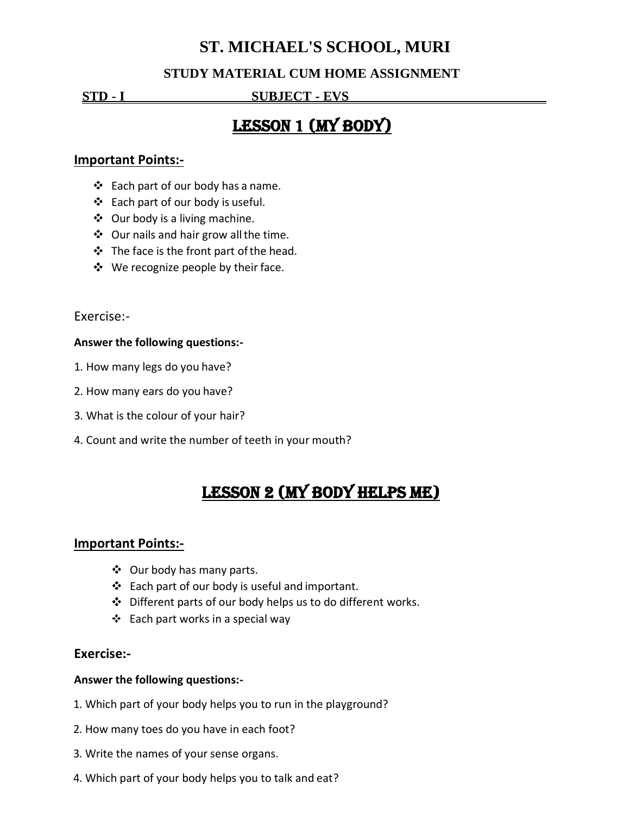# **ST. MICHAEL'S SCHOOL, MURI**

### **STUDY MATERIAL CUM HOME ASSIGNMENT**

**STD - I SUBJECT - EVS .**

# LESSON 1 (MY BODY)

### **Important Points:-**

- $\div$  Each part of our body has a name.
- Each part of our body is useful.
- $\div$  Our body is a living machine.
- $\div$  Our nails and hair grow all the time.
- $\div$  The face is the front part of the head.
- $\div$  We recognize people by their face.

Exercise:-

#### **Answer the following questions:-**

- 1. How many legs do you have?
- 2. How many ears do you have?
- 3. What is the colour of your hair?
- 4. Count and write the number of teeth in your mouth?

# Lesson 2 (My Body Helps Me)

### **Important Points:-**

- Our body has many parts.
- $\div$  Each part of our body is useful and important.
- Different parts of our body helps us to do different works.
- $\div$  Each part works in a special way

### **Exercise:-**

#### **Answer the following questions:-**

- 1. Which part of your body helps you to run in the playground?
- 2. How many toes do you have in each foot?
- 3. Write the names of your sense organs.
- 4. Which part of your body helps you to talk and eat?